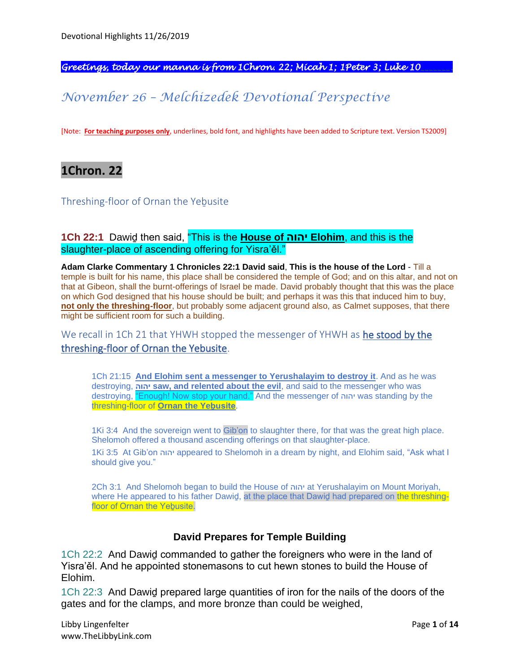*Greetings, today our manna is from 1Chron. 22; Micah 1; 1Peter 3; Luke 10\_\_\_\_\_\_\_.* 

# *November 26 – Melchizedek Devotional Perspective*

[Note: **For teaching purposes only**, underlines, bold font, and highlights have been added to Scripture text. Version TS2009]

**1Chron. 22**

Threshing-floor of Ornan the Yebusite

### **1Ch 22:1** Dawiḏ then said, "This is the **House of יהוה Elohim**, and this is the slaughter-place of ascending offering for Yisra'ěl."

**Adam Clarke Commentary 1 Chronicles 22:1 David said**, **This is the house of the Lord** - Till a temple is built for his name, this place shall be considered the temple of God; and on this altar, and not on that at Gibeon, shall the burnt-offerings of Israel be made. David probably thought that this was the place on which God designed that his house should be built; and perhaps it was this that induced him to buy, **not only the threshing-floor**, but probably some adjacent ground also, as Calmet supposes, that there might be sufficient room for such a building.

We recall in 1Ch 21 that YHWH stopped the messenger of YHWH as he stood by the threshing-floor of Ornan the Yebusite.

1Ch 21:15 **And Elohim sent a messenger to Yerushalayim to destroy it**. And as he was destroying, **יהוה saw, and relented about the evil**, and said to the messenger who was destroying, "Enough! Now stop your hand." And the messenger of יהוה was standing by the threshing-floor of **Ornan the Yeḇusite**.

1Ki 3:4 And the sovereign went to Gib'on to slaughter there, for that was the great high place. Shelomoh offered a thousand ascending offerings on that slaughter-place.

1Ki 3:5 At Gib'on יהוה appeared to Shelomoh in a dream by night, and Elohim said, "Ask what I should give you."

2Ch 3:1 And Shelomoh began to build the House of יהוה at Yerushalayim on Mount Moriyah, where He appeared to his father Dawid, at the place that Dawid had prepared on the threshingfloor of Ornan the Yebusite.

### **David Prepares for Temple Building**

1Ch 22:2 And Dawiḏ commanded to gather the foreigners who were in the land of Yisra'ěl. And he appointed stonemasons to cut hewn stones to build the House of Elohim.

1Ch 22:3 And Dawiḏ prepared large quantities of iron for the nails of the doors of the gates and for the clamps, and more bronze than could be weighed,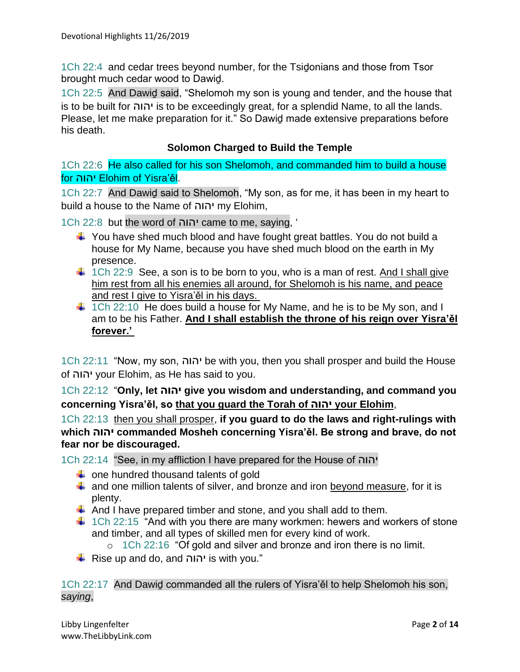1Ch 22:4 and cedar trees beyond number, for the Tsidonians and those from Tsor brought much cedar wood to Dawiḏ.

1Ch 22:5 And Dawiḏ said, "Shelomoh my son is young and tender, and the house that is to be built for יהוה is to be exceedingly great, for a splendid Name, to all the lands. Please, let me make preparation for it." So Dawiḏ made extensive preparations before his death.

### **Solomon Charged to Build the Temple**

1Ch 22:6 He also called for his son Shelomoh, and commanded him to build a house for יהוה Elohim of Yisra'ěl.

1Ch 22:7 And Dawiḏ said to Shelomoh, "My son, as for me, it has been in my heart to build a house to the Name of יהוה my Elohim,

1Ch 22:8 but the word of יהוה came to me, saying, '

- $\ddot{\phantom{1}}$  You have shed much blood and have fought great battles. You do not build a house for My Name, because you have shed much blood on the earth in My presence.
- $\ddot{\phantom{1}}$  1Ch 22:9 See, a son is to be born to you, who is a man of rest. And I shall give him rest from all his enemies all around, for Shelomoh is his name, and peace and rest I give to Yisra'ěl in his days.
- $\ddagger$  1Ch 22:10 He does build a house for My Name, and he is to be My son, and I am to be his Father. **And I shall establish the throne of his reign over Yisra'ěl forever.'**

1Ch 22:11 "Now, my son, יהוה be with you, then you shall prosper and build the House of יהוה your Elohim, as He has said to you.

1Ch 22:12 "**Only, let יהוה give you wisdom and understanding, and command you concerning Yisra'ěl, so that you guard the Torah of יהוה your Elohim**,

1Ch 22:13 then you shall prosper, **if you guard to do the laws and right-rulings with which יהוה commanded Mosheh concerning Yisra'ěl. Be strong and brave, do not fear nor be discouraged.**

1Ch 22:14 "See, in my affliction I have prepared for the House of יהוה

- $\leftarrow$  one hundred thousand talents of gold
- $\ddot{+}$  and one million talents of silver, and bronze and iron beyond measure, for it is plenty.
- $\overline{\phantom{a}}$  And I have prepared timber and stone, and you shall add to them.
- $\ddot{\phantom{1}}$  1Ch 22:15 "And with you there are many workmen: hewers and workers of stone and timber, and all types of skilled men for every kind of work.
	- o 1Ch 22:16 "Of gold and silver and bronze and iron there is no limit.
- $\overline{\text{L}}$  Rise up and do, and יהוה is with you."

1Ch 22:17 And Dawiḏ commanded all the rulers of Yisra'ěl to help Shelomoh his son, *saying*,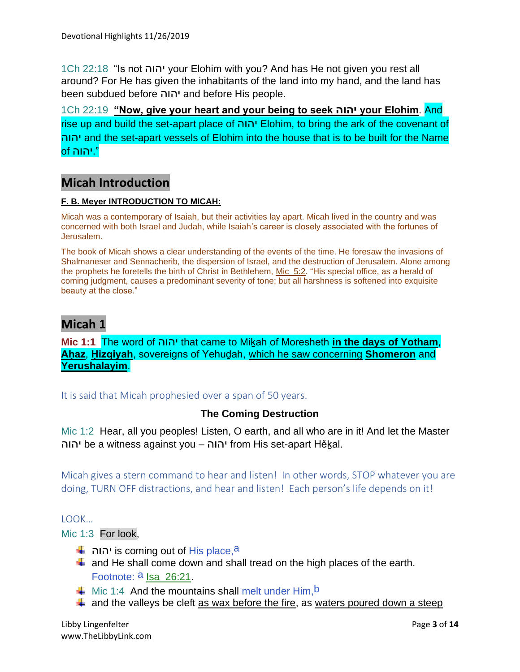1Ch 22:18 "Is not יהוה your Elohim with you? And has He not given you rest all around? For He has given the inhabitants of the land into my hand, and the land has been subdued before יהוה and before His people.

1Ch 22:19 **"Now, give your heart and your being to seek יהוה your Elohim**. And rise up and build the set-apart place of יהוה Elohim, to bring the ark of the covenant of יהוה and the set-apart vessels of Elohim into the house that is to be built for the Name ".יהוה of

## **Micah Introduction**

#### **F. B. Meyer INTRODUCTION TO MICAH:**

Micah was a contemporary of Isaiah, but their activities lay apart. Micah lived in the country and was concerned with both Israel and Judah, while Isaiah's career is closely associated with the fortunes of Jerusalem.

The book of Micah shows a clear understanding of the events of the time. He foresaw the invasions of Shalmaneser and Sennacherib, the dispersion of Israel, and the destruction of Jerusalem. Alone among the prophets he foretells the birth of Christ in Bethlehem, Mic\_5:2. "His special office, as a herald of coming judgment, causes a predominant severity of tone; but all harshness is softened into exquisite beauty at the close."

## **Micah 1**

**Mic 1:1** The word of יהוה that came to Miḵah of Moresheth **in the days of Yotham**, **Aḥaz**, **Ḥizqiyah**, sovereigns of Yehuḏah, which he saw concerning **Shomeron** and **Yerushalayim**.

It is said that Micah prophesied over a span of 50 years.

### **The Coming Destruction**

Mic 1:2 Hear, all you peoples! Listen, O earth, and all who are in it! And let the Master יהוה be a witness against you – יהוה from His set-apart Hěḵal.

Micah gives a stern command to hear and listen! In other words, STOP whatever you are doing, TURN OFF distractions, and hear and listen! Each person's life depends on it!

LOOK…

Mic 1:3 For look,

- יהוה is coming out of His place,a
- $\ddot$  and He shall come down and shall tread on the high places of the earth. Footnote: <sup>a</sup> Isa 26:21.
- $\downarrow$  Mic 1:4 And the mountains shall melt under Him, <sup>b</sup>
- $\ddot{+}$  and the valleys be cleft as wax before the fire, as waters poured down a steep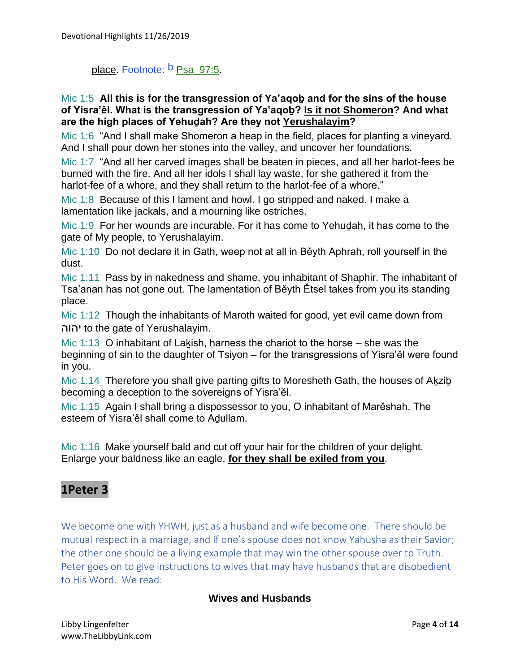# place. Footnote: <sup>b</sup> Psa\_97:5.

### Mic 1:5 **All this is for the transgression of Ya'aqoḇ and for the sins of the house of Yisra'ěl. What is the transgression of Ya'aqoḇ? Is it not Shomeron? And what are the high places of Yehuḏah? Are they not Yerushalayim?**

Mic 1:6 "And I shall make Shomeron a heap in the field, places for planting a vineyard. And I shall pour down her stones into the valley, and uncover her foundations.

Mic 1:7 "And all her carved images shall be beaten in pieces, and all her harlot-fees be burned with the fire. And all her idols I shall lay waste, for she gathered it from the harlot-fee of a whore, and they shall return to the harlot-fee of a whore."

Mic 1:8 Because of this I lament and howl. I go stripped and naked. I make a lamentation like jackals, and a mourning like ostriches.

Mic 1:9 For her wounds are incurable. For it has come to Yehudah, it has come to the gate of My people, to Yerushalayim.

Mic 1:10 Do not declare it in Gath, weep not at all in Běyth Aphrah, roll yourself in the dust.

Mic 1:11 Pass by in nakedness and shame, you inhabitant of Shaphir. The inhabitant of Tsa'anan has not gone out. The lamentation of Běyth Ětsel takes from you its standing place.

Mic 1:12 Though the inhabitants of Maroth waited for good, yet evil came down from יהוה to the gate of Yerushalayim.

Mic 1:13 O inhabitant of Lakish, harness the chariot to the horse – she was the beginning of sin to the daughter of Tsiyon – for the transgressions of Yisra'ěl were found in you.

Mic 1:14 Therefore you shall give parting gifts to Moresheth Gath, the houses of Akzib becoming a deception to the sovereigns of Yisra'ěl.

Mic 1:15 Again I shall bring a dispossessor to you, O inhabitant of Marěshah. The esteem of Yisra'ěl shall come to Aḏullam.

Mic 1:16 Make yourself bald and cut off your hair for the children of your delight. Enlarge your baldness like an eagle, **for they shall be exiled from you**.

## **1Peter 3**

We become one with YHWH, just as a husband and wife become one. There should be mutual respect in a marriage, and if one's spouse does not know Yahusha as their Savior; the other one should be a living example that may win the other spouse over to Truth. Peter goes on to give instructions to wives that may have husbands that are disobedient to His Word. We read:

### **Wives and Husbands**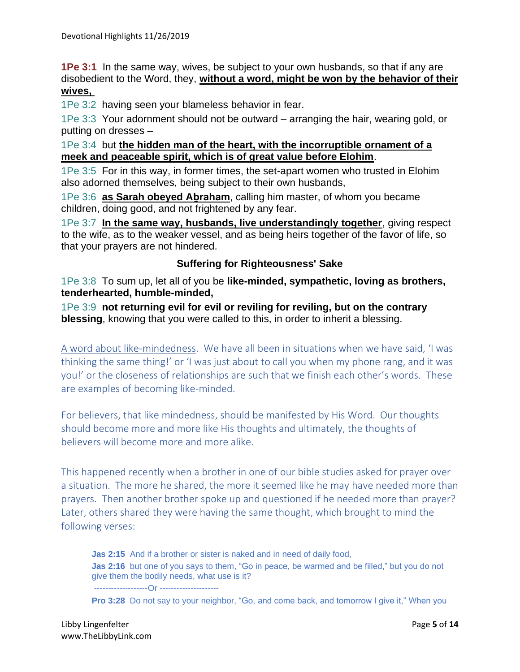**1Pe 3:1** In the same way, wives, be subject to your own husbands, so that if any are disobedient to the Word, they, **without a word, might be won by the behavior of their wives,**

1Pe 3:2 having seen your blameless behavior in fear.

1Pe 3:3 Your adornment should not be outward – arranging the hair, wearing gold, or putting on dresses –

1Pe 3:4 but **the hidden man of the heart, with the incorruptible ornament of a meek and peaceable spirit, which is of great value before Elohim**.

1Pe 3:5 For in this way, in former times, the set-apart women who trusted in Elohim also adorned themselves, being subject to their own husbands,

1Pe 3:6 **as Sarah obeyed Aḇraham**, calling him master, of whom you became children, doing good, and not frightened by any fear.

1Pe 3:7 **In the same way, husbands, live understandingly together**, giving respect to the wife, as to the weaker vessel, and as being heirs together of the favor of life, so that your prayers are not hindered.

### **Suffering for Righteousness' Sake**

1Pe 3:8 To sum up, let all of you be **like-minded, sympathetic, loving as brothers, tenderhearted, humble-minded,**

1Pe 3:9 **not returning evil for evil or reviling for reviling, but on the contrary blessing**, knowing that you were called to this, in order to inherit a blessing.

A word about like-mindedness. We have all been in situations when we have said, 'I was thinking the same thing!' or 'I was just about to call you when my phone rang, and it was you!' or the closeness of relationships are such that we finish each other's words. These are examples of becoming like-minded.

For believers, that like mindedness, should be manifested by His Word. Our thoughts should become more and more like His thoughts and ultimately, the thoughts of believers will become more and more alike.

This happened recently when a brother in one of our bible studies asked for prayer over a situation. The more he shared, the more it seemed like he may have needed more than prayers. Then another brother spoke up and questioned if he needed more than prayer? Later, others shared they were having the same thought, which brought to mind the following verses:

**Jas 2:15** And if a brother or sister is naked and in need of daily food, **Jas 2:16** but one of you says to them, "Go in peace, be warmed and be filled," but you do not give them the bodily needs, what use is it? -------------------Or ---------------------

**Pro 3:28** Do not say to your neighbor, "Go, and come back, and tomorrow I give it," When you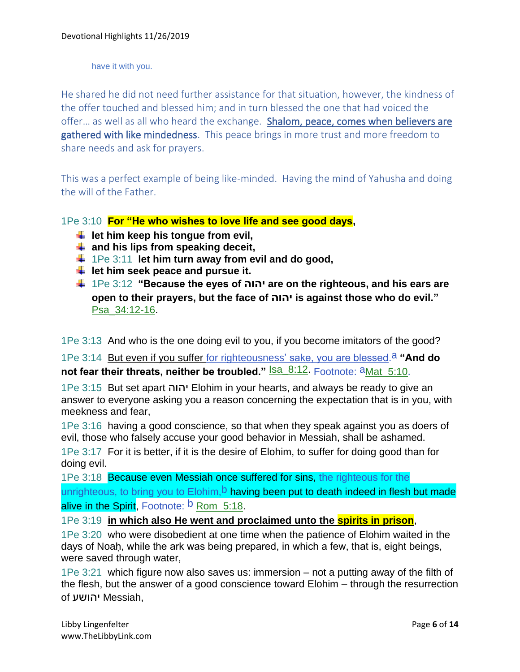have it with you.

He shared he did not need further assistance for that situation, however, the kindness of the offer touched and blessed him; and in turn blessed the one that had voiced the offer... as well as all who heard the exchange. Shalom, peace, comes when believers are gathered with like mindedness. This peace brings in more trust and more freedom to share needs and ask for prayers.

This was a perfect example of being like-minded. Having the mind of Yahusha and doing the will of the Father.

1Pe 3:10 **For "He who wishes to love life and see good days,** 

- **↓** let him keep his tongue from evil,
- **and his lips from speaking deceit,**
- 1Pe 3:11 **let him turn away from evil and do good,**
- $\downarrow$  let him seek peace and pursue it.
- 1Pe 3:12 **"Because the eyes of יהוה are on the righteous, and his ears are open to their prayers, but the face of יהוה is against those who do evil."** Psa\_34:12-16.

1Pe 3:13 And who is the one doing evil to you, if you become imitators of the good?

1Pe 3:14 But even if you suffer for righteousness' sake, you are blessed.a **"And do not fear their threats, neither be troubled."** Isa\_8:12. Footnote:  $a_{Mat_5:10.}$ 

1Pe 3:15 But set apart יהוה Elohim in your hearts, and always be ready to give an answer to everyone asking you a reason concerning the expectation that is in you, with meekness and fear,

1Pe 3:16 having a good conscience, so that when they speak against you as doers of evil, those who falsely accuse your good behavior in Messiah, shall be ashamed.

1Pe 3:17 For it is better, if it is the desire of Elohim, to suffer for doing good than for doing evil.

1Pe 3:18 Because even Messiah once suffered for sins, the righteous for the unrighteous, to bring you to Elohim,<sup>b</sup> having been put to death indeed in flesh but made alive in the Spirit. Footnote: **b** Rom 5:18.

1Pe 3:19 **in which also He went and proclaimed unto the spirits in prison**,

1Pe 3:20 who were disobedient at one time when the patience of Elohim waited in the days of Noah, while the ark was being prepared, in which a few, that is, eight beings, were saved through water,

1Pe 3:21 which figure now also saves us: immersion – not a putting away of the filth of the flesh, but the answer of a good conscience toward Elohim – through the resurrection of יהושע Messiah,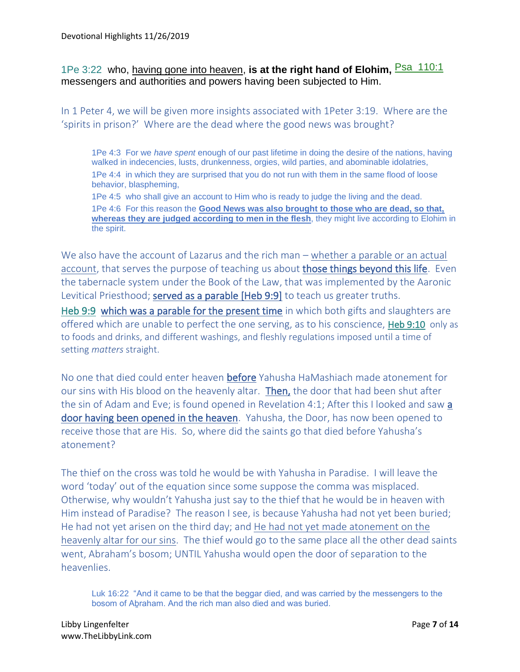## 1Pe 3:22 who, having gone into heaven, **is at the right hand of Elohim,** Psa\_110:1 messengers and authorities and powers having been subjected to Him.

In 1 Peter 4, we will be given more insights associated with 1Peter 3:19. Where are the 'spirits in prison?' Where are the dead where the good news was brought?

1Pe 4:3 For we *have spent* enough of our past lifetime in doing the desire of the nations, having walked in indecencies, lusts, drunkenness, orgies, wild parties, and abominable idolatries, 1Pe 4:4 in which they are surprised that you do not run with them in the same flood of loose behavior, blaspheming,

1Pe 4:5 who shall give an account to Him who is ready to judge the living and the dead. 1Pe 4:6 For this reason the **Good News was also brought to those who are dead, so that, whereas they are judged according to men in the flesh**, they might live according to Elohim in the spirit.

We also have the account of Lazarus and the rich man – whether a parable or an actual account, that serves the purpose of teaching us about those things beyond this life. Even the tabernacle system under the Book of the Law, that was implemented by the Aaronic Levitical Priesthood; served as a parable [Heb 9:9] to teach us greater truths. Heb 9:9 which was a parable for the present time in which both gifts and slaughters are offered which are unable to perfect the one serving, as to his conscience, Heb 9:10 only as to foods and drinks, and different washings, and fleshly regulations imposed until a time of setting *matters* straight.

No one that died could enter heaven before Yahusha HaMashiach made atonement for our sins with His blood on the heavenly altar. Then, the door that had been shut after the sin of Adam and Eve; is found opened in Revelation 4:1; After this I looked and saw a door having been opened in the heaven. Yahusha, the Door, has now been opened to receive those that are His. So, where did the saints go that died before Yahusha's atonement?

The thief on the cross was told he would be with Yahusha in Paradise. I will leave the word 'today' out of the equation since some suppose the comma was misplaced. Otherwise, why wouldn't Yahusha just say to the thief that he would be in heaven with Him instead of Paradise? The reason I see, is because Yahusha had not yet been buried; He had not yet arisen on the third day; and He had not yet made atonement on the heavenly altar for our sins. The thief would go to the same place all the other dead saints went, Abraham's bosom; UNTIL Yahusha would open the door of separation to the heavenlies.

Luk 16:22 "And it came to be that the beggar died, and was carried by the messengers to the bosom of Aḇraham. And the rich man also died and was buried.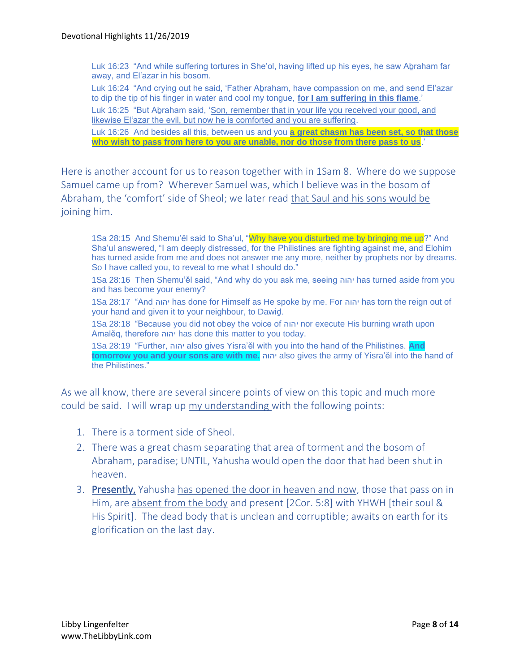Luk 16:23 "And while suffering tortures in She'ol, having lifted up his eyes, he saw Aḇraham far away, and El'azar in his bosom.

Luk 16:24 "And crying out he said, 'Father Aḇraham, have compassion on me, and send El'azar to dip the tip of his finger in water and cool my tongue, **for I am suffering in this flame**.'

Luk 16:25 "But Aḇraham said, 'Son, remember that in your life you received your good, and likewise El'azar the evil, but now he is comforted and you are suffering.

Luk 16:26 And besides all this, between us and you **a great chasm has been set, so that those who wish to pass from here to you are unable, nor do those from there pass to us**.'

Here is another account for us to reason together with in 1Sam 8. Where do we suppose Samuel came up from? Wherever Samuel was, which I believe was in the bosom of Abraham, the 'comfort' side of Sheol; we later read that Saul and his sons would be joining him.

1Sa 28:15 And Shemu'ěl said to Sha'ul, "Why have you disturbed me by bringing me up?" And Sha'ul answered, "I am deeply distressed, for the Philistines are fighting against me, and Elohim has turned aside from me and does not answer me any more, neither by prophets nor by dreams. So I have called you, to reveal to me what I should do."

1Sa 28:16 Then Shemu'ěl said, "And why do you ask me, seeing יהוה has turned aside from you and has become your enemy?

1Sa 28:17 "And יהוה has done for Himself as He spoke by me. For יהוה has torn the reign out of your hand and given it to your neighbour, to Dawiḏ.

1Sa 28:18 "Because you did not obey the voice of יהוה nor execute His burning wrath upon Amalěq, therefore יהוה has done this matter to you today.

1Sa 28:19 "Further, יהוה also gives Yisra'ěl with you into the hand of the Philistines. **And tomorrow you and your sons are with me.** יהוה also gives the army of Yisra'ěl into the hand of the Philistines."

As we all know, there are several sincere points of view on this topic and much more could be said. I will wrap up my understanding with the following points:

- 1. There is a torment side of Sheol.
- 2. There was a great chasm separating that area of torment and the bosom of Abraham, paradise; UNTIL, Yahusha would open the door that had been shut in heaven.
- 3. Presently, Yahusha has opened the door in heaven and now, those that pass on in Him, are absent from the body and present [2Cor. 5:8] with YHWH [their soul & His Spirit]. The dead body that is unclean and corruptible; awaits on earth for its glorification on the last day.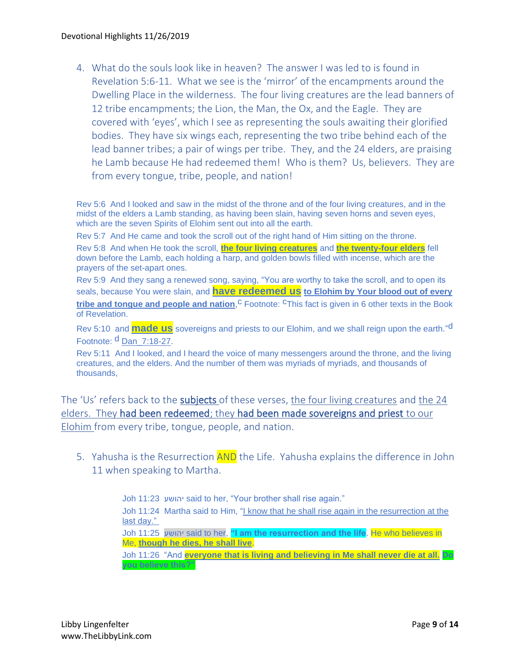4. What do the souls look like in heaven? The answer I was led to is found in Revelation 5:6-11. What we see is the 'mirror' of the encampments around the Dwelling Place in the wilderness. The four living creatures are the lead banners of 12 tribe encampments; the Lion, the Man, the Ox, and the Eagle. They are covered with 'eyes', which I see as representing the souls awaiting their glorified bodies. They have six wings each, representing the two tribe behind each of the lead banner tribes; a pair of wings per tribe. They, and the 24 elders, are praising he Lamb because He had redeemed them! Who is them? Us, believers. They are from every tongue, tribe, people, and nation!

Rev 5:6 And I looked and saw in the midst of the throne and of the four living creatures, and in the midst of the elders a Lamb standing, as having been slain, having seven horns and seven eyes, which are the seven Spirits of Elohim sent out into all the earth.

Rev 5:7 And He came and took the scroll out of the right hand of Him sitting on the throne.

Rev 5:8 And when He took the scroll, **the four living creatures** and **the twenty-four elders** fell down before the Lamb, each holding a harp, and golden bowls filled with incense, which are the prayers of the set-apart ones.

Rev 5:9 And they sang a renewed song, saying, "You are worthy to take the scroll, and to open its seals, because You were slain, and **have redeemed us to Elohim by Your blood out of every tribe and tongue and people and nation**,<sup>C</sup> Footnote: <sup>C</sup>This fact is given in 6 other texts in the Book of Revelation.

Rev 5:10 and **made us** sovereigns and priests to our Elohim, and we shall reign upon the earth." d Footnote: d Dan 7:18-27.

Rev 5:11 And I looked, and I heard the voice of many messengers around the throne, and the living creatures, and the elders. And the number of them was myriads of myriads, and thousands of thousands,

The 'Us' refers back to the subjects of these verses, the four living creatures and the 24 elders. They had been redeemed; they had been made sovereigns and priest to our Elohim from every tribe, tongue, people, and nation.

5. Yahusha is the Resurrection **AND** the Life. Yahusha explains the difference in John 11 when speaking to Martha.

> Joh 11:23 יהושע said to her, "Your brother shall rise again." Joh 11:24 Martha said to Him, "I know that he shall rise again in the resurrection at the last day." Joh 11:25 יהושע said to her, **"I am the resurrection and the life**. He who believes in Me, **though he dies, he shall live**. Joh 11:26 "And **everyone that is living and believing in Me shall never die at all. Do you believe this?"**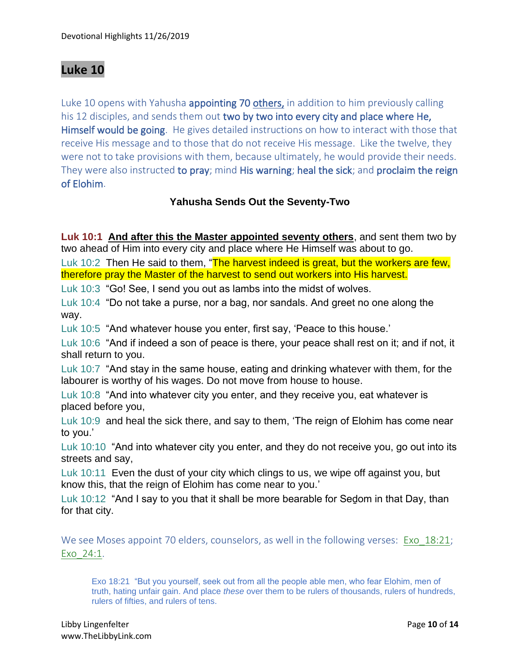# **Luke 10**

Luke 10 opens with Yahusha **appointing 70 others**, in addition to him previously calling his 12 disciples, and sends them out two by two into every city and place where He, Himself would be going. He gives detailed instructions on how to interact with those that receive His message and to those that do not receive His message. Like the twelve, they were not to take provisions with them, because ultimately, he would provide their needs. They were also instructed to pray; mind His warning; heal the sick; and proclaim the reign of Elohim.

## **Yahusha Sends Out the Seventy-Two**

**Luk 10:1 And after this the Master appointed seventy others**, and sent them two by two ahead of Him into every city and place where He Himself was about to go.

Luk 10:2 Then He said to them, "The harvest indeed is great, but the workers are few, therefore pray the Master of the harvest to send out workers into His harvest.

Luk 10:3 "Go! See, I send you out as lambs into the midst of wolves.

Luk 10:4 "Do not take a purse, nor a bag, nor sandals. And greet no one along the way.

Luk 10:5 "And whatever house you enter, first say, 'Peace to this house.'

Luk 10:6 "And if indeed a son of peace is there, your peace shall rest on it; and if not, it shall return to you.

Luk 10:7 "And stay in the same house, eating and drinking whatever with them, for the labourer is worthy of his wages. Do not move from house to house.

Luk 10:8 "And into whatever city you enter, and they receive you, eat whatever is placed before you,

Luk 10:9 and heal the sick there, and say to them, 'The reign of Elohim has come near to you.'

Luk 10:10 "And into whatever city you enter, and they do not receive you, go out into its streets and say,

Luk 10:11 Even the dust of your city which clings to us, we wipe off against you, but know this, that the reign of Elohim has come near to you.'

Luk 10:12 "And I say to you that it shall be more bearable for Sedom in that Day, than for that city.

We see Moses appoint 70 elders, counselors, as well in the following verses: Exo 18:21; Exo\_24:1.

Exo 18:21 "But you yourself, seek out from all the people able men, who fear Elohim, men of truth, hating unfair gain. And place *these* over them to be rulers of thousands, rulers of hundreds, rulers of fifties, and rulers of tens.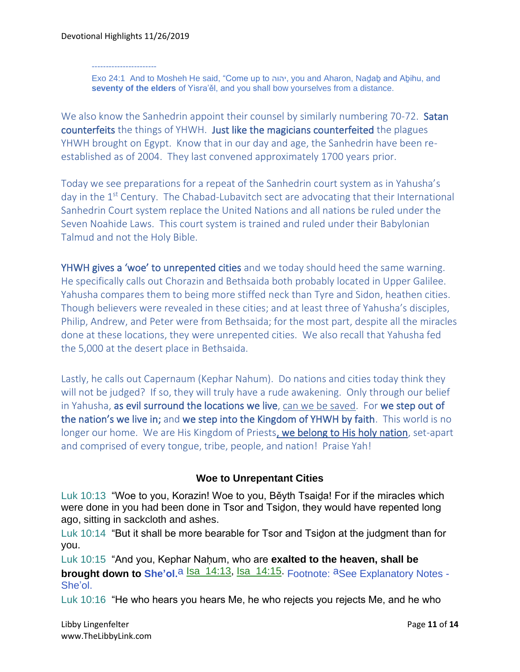Devotional Highlights 11/26/2019

-----------------------

Exo 24:1 And to Mosheh He said, "Come up to יהוה, you and Aharon, Naḏaḇ and Aḇihu, and **seventy of the elders** of Yisra'ěl, and you shall bow yourselves from a distance.

We also know the Sanhedrin appoint their counsel by similarly numbering 70-72. Satan counterfeits the things of YHWH. Just like the magicians counterfeited the plagues YHWH brought on Egypt. Know that in our day and age, the Sanhedrin have been reestablished as of 2004. They last convened approximately 1700 years prior.

Today we see preparations for a repeat of the Sanhedrin court system as in Yahusha's day in the 1<sup>st</sup> Century. The Chabad-Lubavitch sect are advocating that their International Sanhedrin Court system replace the United Nations and all nations be ruled under the Seven Noahide Laws. This court system is trained and ruled under their Babylonian Talmud and not the Holy Bible.

YHWH gives a 'woe' to unrepented cities and we today should heed the same warning. He specifically calls out Chorazin and Bethsaida both probably located in Upper Galilee. Yahusha compares them to being more stiffed neck than Tyre and Sidon, heathen cities. Though believers were revealed in these cities; and at least three of Yahusha's disciples, Philip, Andrew, and Peter were from Bethsaida; for the most part, despite all the miracles done at these locations, they were unrepented cities. We also recall that Yahusha fed the 5,000 at the desert place in Bethsaida.

Lastly, he calls out Capernaum (Kephar Nahum). Do nations and cities today think they will not be judged? If so, they will truly have a rude awakening. Only through our belief in Yahusha, as evil surround the locations we live, can we be saved. For we step out of the nation's we live in; and we step into the Kingdom of YHWH by faith. This world is no longer our home. We are His Kingdom of Priests, we belong to His holy nation, set-apart and comprised of every tongue, tribe, people, and nation! Praise Yah!

### **Woe to Unrepentant Cities**

Luk 10:13 "Woe to you, Korazin! Woe to you, Běyth Tsaiḏa! For if the miracles which were done in you had been done in Tsor and Tsiḏon, they would have repented long ago, sitting in sackcloth and ashes.

Luk 10:14 "But it shall be more bearable for Tsor and Tsidon at the judgment than for you.

Luk 10:15 "And you, Kephar Naḥum, who are **exalted to the heaven, shall be brought down to She'ol.**<sup>a</sup> Isa\_14:13, Isa\_14:15. Footnote: <sup>a</sup>See Explanatory Notes -She'ol.

Luk 10:16 "He who hears you hears Me, he who rejects you rejects Me, and he who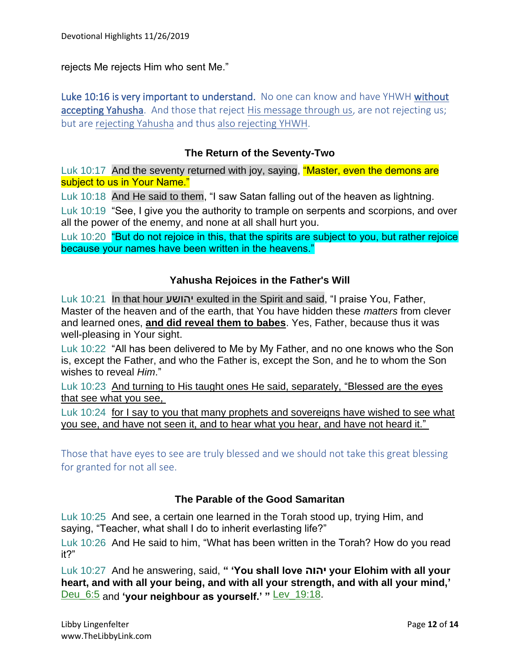rejects Me rejects Him who sent Me."

Luke 10:16 is very important to understand. No one can know and have YHWH without accepting Yahusha. And those that reject His message through us, are not rejecting us; but are rejecting Yahusha and thus also rejecting YHWH.

#### **The Return of the Seventy-Two**

Luk 10:17 And the seventy returned with joy, saying, "Master, even the demons are subject to us in Your Name."

Luk 10:18 And He said to them, "I saw Satan falling out of the heaven as lightning.

Luk 10:19 "See, I give you the authority to trample on serpents and scorpions, and over all the power of the enemy, and none at all shall hurt you.

Luk 10:20 "But do not rejoice in this, that the spirits are subject to you, but rather rejoice because your names have been written in the heavens."

#### **Yahusha Rejoices in the Father's Will**

Luk 10:21 In that hour יהושע exulted in the Spirit and said, "I praise You, Father, Master of the heaven and of the earth, that You have hidden these *matters* from clever and learned ones, **and did reveal them to babes**. Yes, Father, because thus it was well-pleasing in Your sight.

Luk 10:22 "All has been delivered to Me by My Father, and no one knows who the Son is, except the Father, and who the Father is, except the Son, and he to whom the Son wishes to reveal *Him*."

Luk 10:23 And turning to His taught ones He said, separately, "Blessed are the eyes that see what you see,

Luk 10:24 for I say to you that many prophets and sovereigns have wished to see what you see, and have not seen it, and to hear what you hear, and have not heard it."

Those that have eyes to see are truly blessed and we should not take this great blessing for granted for not all see.

#### **The Parable of the Good Samaritan**

Luk 10:25 And see, a certain one learned in the Torah stood up, trying Him, and saying, "Teacher, what shall I do to inherit everlasting life?"

Luk 10:26 And He said to him, "What has been written in the Torah? How do you read it?"

Luk 10:27 And he answering, said, **" 'You shall love יהוה your Elohim with all your heart, and with all your being, and with all your strength, and with all your mind,'** Deu\_6:5 and **'your neighbour as yourself.' "** Lev\_19:18.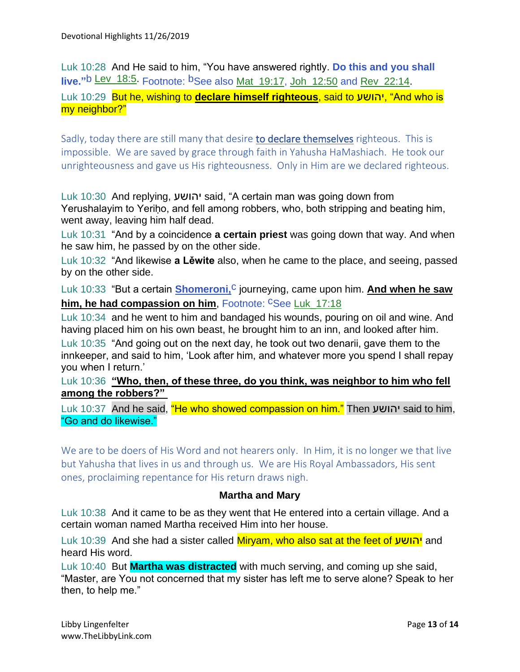Luk 10:28 And He said to him, "You have answered rightly. **Do this and you shall live."**b Lev\_18:5. Footnote: bSee also Mat\_19:17, Joh\_12:50 and Rev\_22:14. Luk 10:29 But he, wishing to **declare himself righteous**, said to יהושע," And who is my neighbor?"

Sadly, today there are still many that desire **to declare themselves** righteous. This is impossible. We are saved by grace through faith in Yahusha HaMashiach. He took our unrighteousness and gave us His righteousness. Only in Him are we declared righteous.

Luk 10:30 And replying, יהושע said, "A certain man was going down from Yerushalayim to Yeriḥo, and fell among robbers, who, both stripping and beating him, went away, leaving him half dead.

Luk 10:31 "And by a coincidence **a certain priest** was going down that way. And when he saw him, he passed by on the other side.

Luk 10:32 "And likewise **a Lěwite** also, when he came to the place, and seeing, passed by on the other side.

Luk 10:33 "But a certain **Shomeroni,<sup>C</sup>** journeying, came upon him. **And when he saw him, he had compassion on him, Footnote: CSee Luk\_17:18** 

Luk 10:34 and he went to him and bandaged his wounds, pouring on oil and wine. And having placed him on his own beast, he brought him to an inn, and looked after him.

Luk 10:35 "And going out on the next day, he took out two denarii, gave them to the innkeeper, and said to him, 'Look after him, and whatever more you spend I shall repay you when I return.'

Luk 10:36 **"Who, then, of these three, do you think, was neighbor to him who fell among the robbers?"**

Luk 10:37 And he said, "He who showed compassion on him." Then יהושע said to him, "Go and do likewise."

We are to be doers of His Word and not hearers only. In Him, it is no longer we that live but Yahusha that lives in us and through us. We are His Royal Ambassadors, His sent ones, proclaiming repentance for His return draws nigh.

### **Martha and Mary**

Luk 10:38 And it came to be as they went that He entered into a certain village. And a certain woman named Martha received Him into her house.

Luk 10:39 And she had a sister called Miryam, who also sat at the feet of יהושע and heard His word.

Luk 10:40 But **Martha was distracted** with much serving, and coming up she said, "Master, are You not concerned that my sister has left me to serve alone? Speak to her then, to help me."